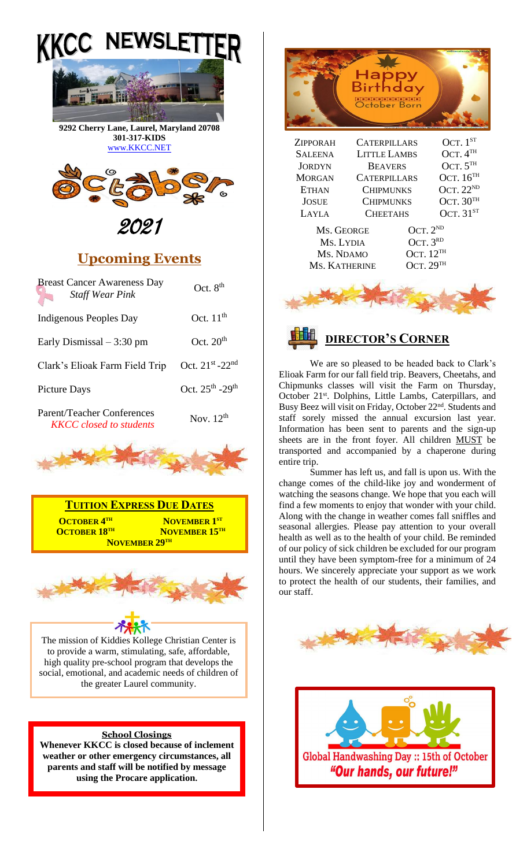



**9292 Cherry Lane, Laurel, Maryland 20708 301-317-KIDS**  [www.KKCC.NET](http://www.kkcc.net/)



2021

## **Upcoming Events**

| <b>Breast Cancer Awareness Day</b><br><b>Staff Wear Pink</b> | Oct. $8th$                       |
|--------------------------------------------------------------|----------------------------------|
| Indigenous Peoples Day                                       | Oct. $11th$                      |
| Early Dismissal $-3:30$ pm                                   | Oct. $20th$                      |
| Clark's Elioak Farm Field Trip                               | Oct. 21st -22nd                  |
| Picture Days                                                 | Oct. $25^{th}$ -29 <sup>th</sup> |
|                                                              |                                  |

Parent/Teacher Conferences *KKCC closed to students* Nov. 12<sup>th</sup>







The mission of Kiddies Kollege Christian Center is to provide a warm, stimulating, safe, affordable, high quality pre-school program that develops the social, emotional, and academic needs of children of the greater Laurel community.

#### **School Closings**

**Whenever KKCC is closed because of inclement weather or other emergency circumstances, all parents and staff will be notified by message using the Procare application.**



We are so pleased to be headed back to Clark's Elioak Farm for our fall field trip. Beavers, Cheetahs, and Chipmunks classes will visit the Farm on Thursday, October 21<sup>st</sup>. Dolphins, Little Lambs, Caterpillars, and Busy Beez will visit on Friday, October 22<sup>nd</sup>. Students and staff sorely missed the annual excursion last year. Information has been sent to parents and the sign-up sheets are in the front foyer. All children MUST be transported and accompanied by a chaperone during entire trip.

Summer has left us, and fall is upon us. With the change comes of the child-like joy and wonderment of watching the seasons change. We hope that you each will find a few moments to enjoy that wonder with your child. Along with the change in weather comes fall sniffles and seasonal allergies. Please pay attention to your overall health as well as to the health of your child. Be reminded of our policy of sick children be excluded for our program until they have been symptom-free for a minimum of 24 hours. We sincerely appreciate your support as we work to protect the health of our students, their families, and our staff.



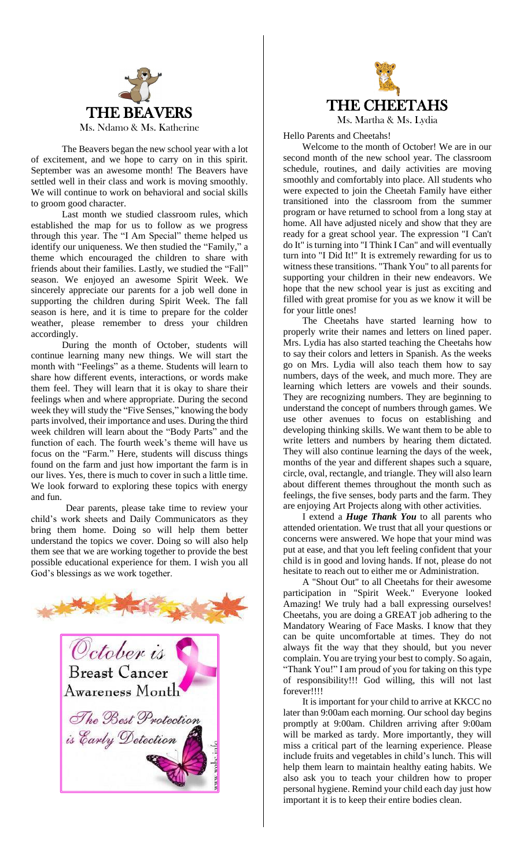

The Beavers began the new school year with a lot of excitement, and we hope to carry on in this spirit. September was an awesome month! The Beavers have settled well in their class and work is moving smoothly. We will continue to work on behavioral and social skills to groom good character.

Last month we studied classroom rules, which established the map for us to follow as we progress through this year. The "I Am Special" theme helped us identify our uniqueness. We then studied the "Family," a theme which encouraged the children to share with friends about their families. Lastly, we studied the "Fall" season. We enjoyed an awesome Spirit Week. We sincerely appreciate our parents for a job well done in supporting the children during Spirit Week. The fall season is here, and it is time to prepare for the colder weather, please remember to dress your children accordingly.

During the month of October, students will continue learning many new things. We will start the month with "Feelings" as a theme. Students will learn to share how different events, interactions, or words make them feel. They will learn that it is okay to share their feelings when and where appropriate. During the second week they will study the "Five Senses," knowing the body parts involved, their importance and uses. During the third week children will learn about the "Body Parts" and the function of each. The fourth week's theme will have us focus on the "Farm." Here, students will discuss things found on the farm and just how important the farm is in our lives. Yes, there is much to cover in such a little time. We look forward to exploring these topics with energy and fun.

Dear parents, please take time to review your child's work sheets and Daily Communicators as they bring them home. Doing so will help them better understand the topics we cover. Doing so will also help them see that we are working together to provide the best possible educational experience for them. I wish you all God's blessings as we work together.





Hello Parents and Cheetahs!

 Welcome to the month of October! We are in our second month of the new school year. The classroom schedule, routines, and daily activities are moving smoothly and comfortably into place. All students who were expected to join the Cheetah Family have either transitioned into the classroom from the summer program or have returned to school from a long stay at home. All have adjusted nicely and show that they are ready for a great school year. The expression "I Can't do It" is turning into "I Think I Can" and will eventually turn into "I Did It!" It is extremely rewarding for us to witness these transitions. "Thank You" to all parents for supporting your children in their new endeavors. We hope that the new school year is just as exciting and filled with great promise for you as we know it will be for your little ones!

 The Cheetahs have started learning how to properly write their names and letters on lined paper. Mrs. Lydia has also started teaching the Cheetahs how to say their colors and letters in Spanish. As the weeks go on Mrs. Lydia will also teach them how to say numbers, days of the week, and much more. They are learning which letters are vowels and their sounds. They are recognizing numbers. They are beginning to understand the concept of numbers through games. We use other avenues to focus on establishing and developing thinking skills. We want them to be able to write letters and numbers by hearing them dictated. They will also continue learning the days of the week, months of the year and different shapes such a square, circle, oval, rectangle, and triangle. They will also learn about different themes throughout the month such as feelings, the five senses, body parts and the farm. They are enjoying Art Projects along with other activities.

 I extend a *Huge Thank You* to all parents who attended orientation. We trust that all your questions or concerns were answered. We hope that your mind was put at ease, and that you left feeling confident that your child is in good and loving hands. If not, please do not hesitate to reach out to either me or Administration.

 A "Shout Out" to all Cheetahs for their awesome participation in "Spirit Week." Everyone looked Amazing! We truly had a ball expressing ourselves! Cheetahs, you are doing a GREAT job adhering to the Mandatory Wearing of Face Masks. I know that they can be quite uncomfortable at times. They do not always fit the way that they should, but you never complain. You are trying your best to comply. So again, "Thank You!" I am proud of you for taking on this type of responsibility!!! God willing, this will not last forever!!!!

 It is important for your child to arrive at KKCC no later than 9:00am each morning. Our school day begins promptly at 9:00am. Children arriving after 9:00am will be marked as tardy. More importantly, they will miss a critical part of the learning experience. Please include fruits and vegetables in child's lunch. This will help them learn to maintain healthy eating habits. We also ask you to teach your children how to proper personal hygiene. Remind your child each day just how important it is to keep their entire bodies clean.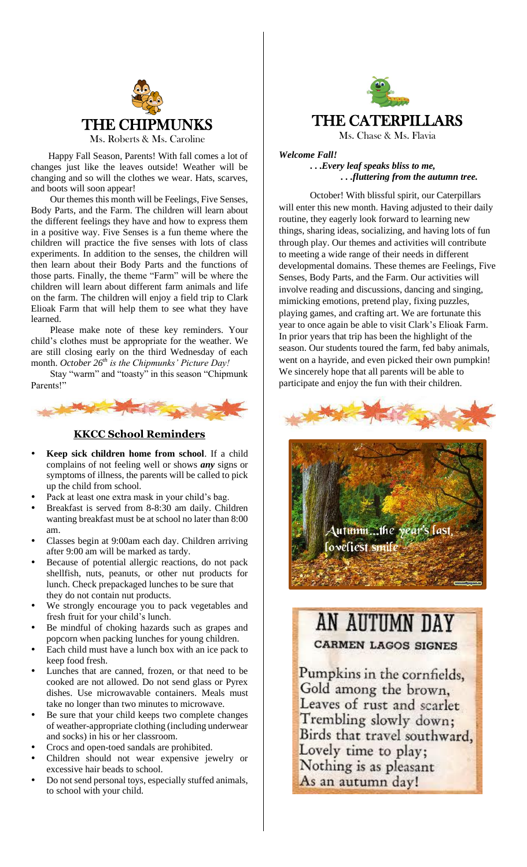

 Happy Fall Season, Parents! With fall comes a lot of changes just like the leaves outside! Weather will be changing and so will the clothes we wear. Hats, scarves, and boots will soon appear!

 Our themes this month will be Feelings, Five Senses, Body Parts, and the Farm. The children will learn about the different feelings they have and how to express them in a positive way. Five Senses is a fun theme where the children will practice the five senses with lots of class experiments. In addition to the senses, the children will then learn about their Body Parts and the functions of those parts. Finally, the theme "Farm" will be where the children will learn about different farm animals and life on the farm. The children will enjoy a field trip to Clark Elioak Farm that will help them to see what they have learned.

 Please make note of these key reminders. Your child's clothes must be appropriate for the weather. We are still closing early on the third Wednesday of each month. *October 26th is the Chipmunks' Picture Day!*

 Stay "warm" and "toasty" in this season "Chipmunk Parents!"



### **KKCC School Reminders**

- **Keep sick children home from school**. If a child complains of not feeling well or shows *any* signs or symptoms of illness, the parents will be called to pick up the child from school.
- Pack at least one extra mask in your child's bag.
- Breakfast is served from 8-8:30 am daily. Children wanting breakfast must be at school no later than 8:00 am.
- Classes begin at 9:00am each day. Children arriving after 9:00 am will be marked as tardy.
- Because of potential allergic reactions, do not pack shellfish, nuts, peanuts, or other nut products for lunch. Check prepackaged lunches to be sure that they do not contain nut products.
- We strongly encourage you to pack vegetables and fresh fruit for your child's lunch.
- Be mindful of choking hazards such as grapes and popcorn when packing lunches for young children.
- Each child must have a lunch box with an ice pack to keep food fresh.
- Lunches that are canned, frozen, or that need to be cooked are not allowed. Do not send glass or Pyrex dishes. Use microwavable containers. Meals must take no longer than two minutes to microwave.
- Be sure that your child keeps two complete changes of weather-appropriate clothing (including underwear and socks) in his or her classroom.
- Crocs and open-toed sandals are prohibited.
- Children should not wear expensive jewelry or excessive hair beads to school.
- Do not send personal toys, especially stuffed animals, to school with your child.



*Welcome Fall!* **. . .***Every leaf speaks bliss to me, . . .fluttering from the autumn tree.*

October! With blissful spirit, our Caterpillars will enter this new month. Having adjusted to their daily routine, they eagerly look forward to learning new things, sharing ideas, socializing, and having lots of fun through play. Our themes and activities will contribute to meeting a wide range of their needs in different developmental domains. These themes are Feelings, Five Senses, Body Parts, and the Farm. Our activities will involve reading and discussions, dancing and singing, mimicking emotions, pretend play, fixing puzzles, playing games, and crafting art. We are fortunate this year to once again be able to visit Clark's Elioak Farm. In prior years that trip has been the highlight of the season. Our students toured the farm, fed baby animals, went on a hayride, and even picked their own pumpkin! We sincerely hope that all parents will be able to participate and enjoy the fun with their children.



# AN AUTUMN DAY **CARMEN LAGOS SIGNES**

Pumpkins in the cornfields, Gold among the brown. Leaves of rust and scarlet Trembling slowly down; Birds that travel southward, Lovely time to play; Nothing is as pleasant As an autumn day!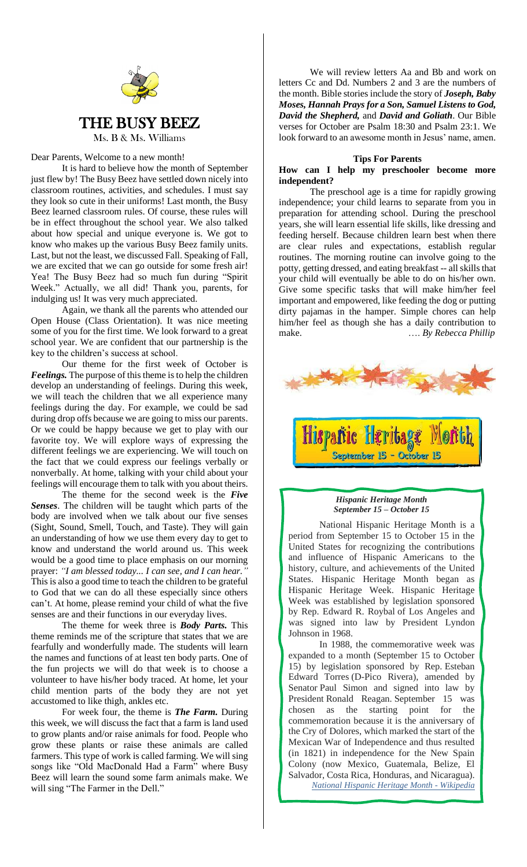

Dear Parents, Welcome to a new month!

It is hard to believe how the month of September just flew by! The Busy Beez have settled down nicely into classroom routines, activities, and schedules. I must say they look so cute in their uniforms! Last month, the Busy Beez learned classroom rules. Of course, these rules will be in effect throughout the school year. We also talked about how special and unique everyone is. We got to know who makes up the various Busy Beez family units. Last, but not the least, we discussed Fall. Speaking of Fall, we are excited that we can go outside for some fresh air! Yea! The Busy Beez had so much fun during "Spirit Week." Actually, we all did! Thank you, parents, for indulging us! It was very much appreciated.

Again, we thank all the parents who attended our Open House (Class Orientation). It was nice meeting some of you for the first time. We look forward to a great school year. We are confident that our partnership is the key to the children's success at school.

Our theme for the first week of October is *Feelings.* The purpose of this theme is to help the children develop an understanding of feelings. During this week, we will teach the children that we all experience many feelings during the day. For example, we could be sad during drop offs because we are going to miss our parents. Or we could be happy because we get to play with our favorite toy. We will explore ways of expressing the different feelings we are experiencing. We will touch on the fact that we could express our feelings verbally or nonverbally. At home, talking with your child about your feelings will encourage them to talk with you about theirs.

The theme for the second week is the *Five Senses*. The children will be taught which parts of the body are involved when we talk about our five senses (Sight, Sound, Smell, Touch, and Taste). They will gain an understanding of how we use them every day to get to know and understand the world around us. This week would be a good time to place emphasis on our morning prayer: *"I am blessed today... I can see, and I can hear."* This is also a good time to teach the children to be grateful to God that we can do all these especially since others can't. At home, please remind your child of what the five senses are and their functions in our everyday lives.

The theme for week three is *Body Parts.* This theme reminds me of the scripture that states that we are fearfully and wonderfully made. The students will learn the names and functions of at least ten body parts. One of the fun projects we will do that week is to choose a volunteer to have his/her body traced. At home, let your child mention parts of the body they are not yet accustomed to like thigh, ankles etc.

For week four, the theme is *The Farm.* During this week, we will discuss the fact that a farm is land used to grow plants and/or raise animals for food. People who grow these plants or raise these animals are called farmers. This type of work is called farming. We will sing songs like "Old MacDonald Had a Farm" where Busy Beez will learn the sound some farm animals make. We will sing "The Farmer in the Dell."

We will review letters Aa and Bb and work on letters Cc and Dd. Numbers 2 and 3 are the numbers of the month. Bible stories include the story of *Joseph, Baby Moses, Hannah Prays for a Son, Samuel Listens to God, David the Shepherd,* and *David and Goliath*. Our Bible verses for October are Psalm 18:30 and Psalm 23:1. We look forward to an awesome month in Jesus' name, amen.

#### **Tips For Parents**

#### **How can I help my preschooler become more independent?**

The preschool age is a time for rapidly growing independence; your child learns to separate from you in preparation for attending school. During the preschool years, she will learn essential life skills, like dressing and feeding herself. Because children learn best when there are clear rules and expectations, establish regular routines. The morning routine can involve going to the potty, getting dressed, and eating breakfast -- all skills that your child will eventually be able to do on his/her own. Give some specific tasks that will make him/her feel important and empowered, like feeding the dog or putting dirty pajamas in the hamper. Simple chores can help him/her feel as though she has a daily contribution to make. …. *By Rebecca Phillip*





#### *Hispanic Heritage Month September 15 – October 15*

National Hispanic Heritage Month is a period from September 15 to October 15 in the United States for recognizing the contributions and influence of Hispanic Americans to the history, culture, and achievements of the United States. Hispanic Heritage Month began as Hispanic Heritage Week. Hispanic Heritage Week was established by legislation sponsored by Rep. Edward R. Roybal of Los Angeles and was signed into law by President Lyndon Johnson in 1968.

In 1988, the commemorative week was expanded to a month (September 15 to October 15) by legislation sponsored by Rep. Esteban Edward Torres (D-Pico Rivera), amended by Senator Paul Simon and signed into law by President [Ronald Reagan.](https://en.wikipedia.org/wiki/Ronald_Reagan) September 15 was chosen as the starting point for the commemoration because it is the anniversary of the Cry of Dolores, which marked the start of the Mexican War of Independence and thus resulted (in 1821) in independence for the New Spain Colony (now Mexico, Guatemala, Belize, El Salvador, Costa Rica, Honduras, and Nicaragua). *[National Hispanic Heritage Month -](https://en.wikipedia.org/wiki/National_Hispanic_Heritage_Month) Wikipedia*